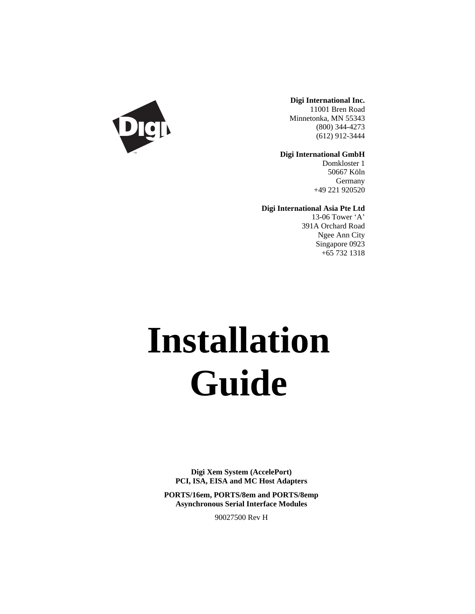

**Digi International Inc.** 11001 Bren Road Minnetonka, MN 55343 (800) 344-4273 (612) 912-3444

**Digi International GmbH**

Domkloster 1 50667 Köln Germany +49 221 920520

**Digi International Asia Pte Ltd**

13-06 Tower 'A' 391A Orchard Road Ngee Ann City Singapore 0923 +65 732 1318

# **Installation Guide**

**Digi Xem System (AccelePort) PCI, ISA, EISA and MC Host Adapters**

**PORTS/16em, PORTS/8em and PORTS/8emp Asynchronous Serial Interface Modules**

90027500 Rev H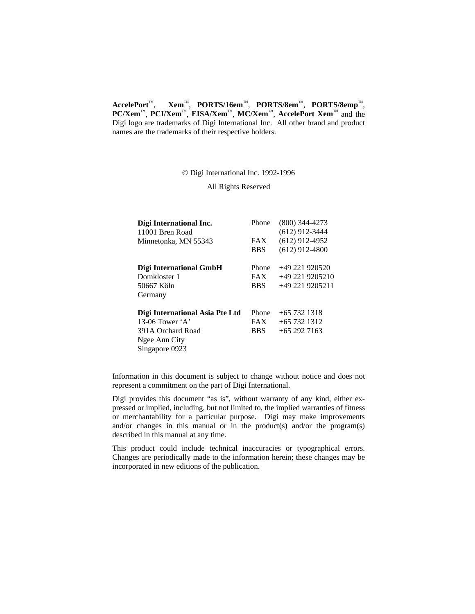**AccelePort**™, **Xem**™, **PORTS/16em**™, **PORTS/8em**™, **PORTS/8emp**™, **PC/Xem**™, **PCI/Xem**™, **EISA/Xem**™, **MC/Xem**™, **AccelePort Xem**™ and the Digi logo are trademarks of Digi International Inc. All other brand and product names are the trademarks of their respective holders.

© Digi International Inc. 1992-1996

All Rights Reserved

| Digi International Inc.         | Phone      | $(800)$ 344-4273 |
|---------------------------------|------------|------------------|
| 11001 Bren Road                 |            | $(612)$ 912-3444 |
| Minnetonka, MN 55343            | <b>FAX</b> | $(612)$ 912-4952 |
|                                 | <b>BBS</b> | $(612)$ 912-4800 |
| Digi International GmbH         | Phone      | $+49221920520$   |
| Domkloster 1                    | <b>FAX</b> | +49 221 9205210  |
| 50667 Köln                      | <b>BBS</b> | +49 221 9205211  |
| Germany                         |            |                  |
| Digi International Asia Pte Ltd | Phone      | $+657321318$     |
| 13-06 Tower $A$                 | <b>FAX</b> | $+657321312$     |
| 391A Orchard Road               | <b>BBS</b> | $+652927163$     |
| Ngee Ann City                   |            |                  |
| Singapore 0923                  |            |                  |
|                                 |            |                  |

Information in this document is subject to change without notice and does not represent a commitment on the part of Digi International.

Digi provides this document "as is", without warranty of any kind, either expressed or implied, including, but not limited to, the implied warranties of fitness or merchantability for a particular purpose. Digi may make improvements and/or changes in this manual or in the product(s) and/or the program(s) described in this manual at any time.

This product could include technical inaccuracies or typographical errors. Changes are periodically made to the information herein; these changes may be incorporated in new editions of the publication.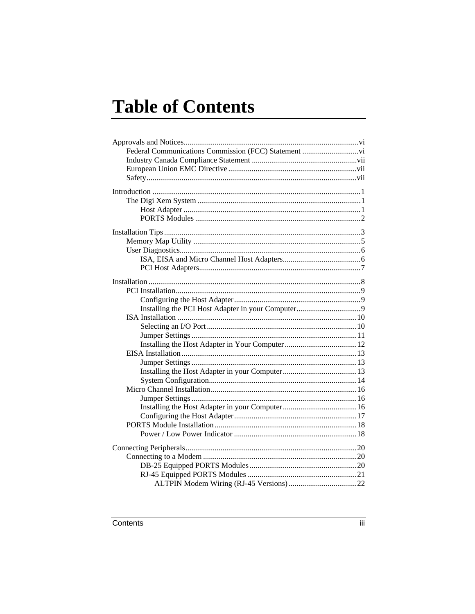# **Table of Contents**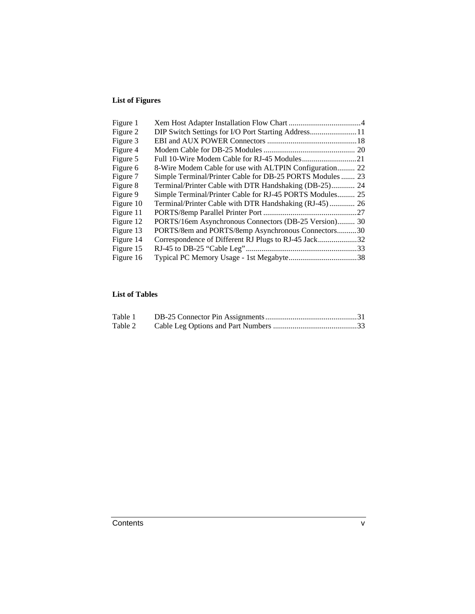#### **List of Figures**

| Figure 1  |                                                           |  |
|-----------|-----------------------------------------------------------|--|
| Figure 2  | DIP Switch Settings for I/O Port Starting Address11       |  |
| Figure 3  |                                                           |  |
| Figure 4  |                                                           |  |
| Figure 5  |                                                           |  |
| Figure 6  | 8-Wire Modem Cable for use with ALTPIN Configuration 22   |  |
| Figure 7  | Simple Terminal/Printer Cable for DB-25 PORTS Modules  23 |  |
| Figure 8  | Terminal/Printer Cable with DTR Handshaking (DB-25) 24    |  |
| Figure 9  | Simple Terminal/Printer Cable for RJ-45 PORTS Modules 25  |  |
| Figure 10 | Terminal/Printer Cable with DTR Handshaking (RJ-45) 26    |  |
| Figure 11 |                                                           |  |
| Figure 12 | PORTS/16em Asynchronous Connectors (DB-25 Version) 30     |  |
| Figure 13 | PORTS/8em and PORTS/8emp Asynchronous Connectors30        |  |
| Figure 14 | Correspondence of Different RJ Plugs to RJ-45 Jack32      |  |
| Figure 15 |                                                           |  |
| Figure 16 |                                                           |  |

#### **List of Tables**

| Table 1 |  |
|---------|--|
| Table 2 |  |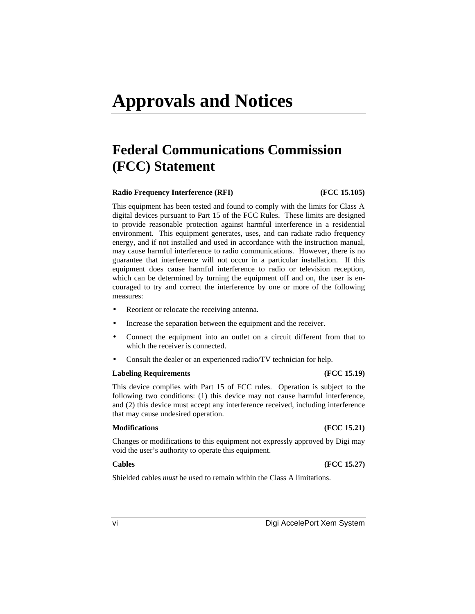# **Federal Communications Commission (FCC) Statement**

#### **Radio Frequency Interference (RFI) (FCC 15.105)**

This equipment has been tested and found to comply with the limits for Class A digital devices pursuant to Part 15 of the FCC Rules. These limits are designed to provide reasonable protection against harmful interference in a residential environment. This equipment generates, uses, and can radiate radio frequency energy, and if not installed and used in accordance with the instruction manual, may cause harmful interference to radio communications. However, there is no guarantee that interference will not occur in a particular installation. If this equipment does cause harmful interference to radio or television reception, which can be determined by turning the equipment off and on, the user is encouraged to try and correct the interference by one or more of the following measures:

- Reorient or relocate the receiving antenna.
- Increase the separation between the equipment and the receiver.
- Connect the equipment into an outlet on a circuit different from that to which the receiver is connected.
- Consult the dealer or an experienced radio/TV technician for help.

#### **Labeling Requirements (FCC 15.19)**

This device complies with Part 15 of FCC rules. Operation is subject to the following two conditions: (1) this device may not cause harmful interference, and (2) this device must accept any interference received, including interference that may cause undesired operation.

#### **Modifications (FCC 15.21)**

Changes or modifications to this equipment not expressly approved by Digi may void the user's authority to operate this equipment.

#### **Cables (FCC 15.27)**

Shielded cables *must* be used to remain within the Class A limitations.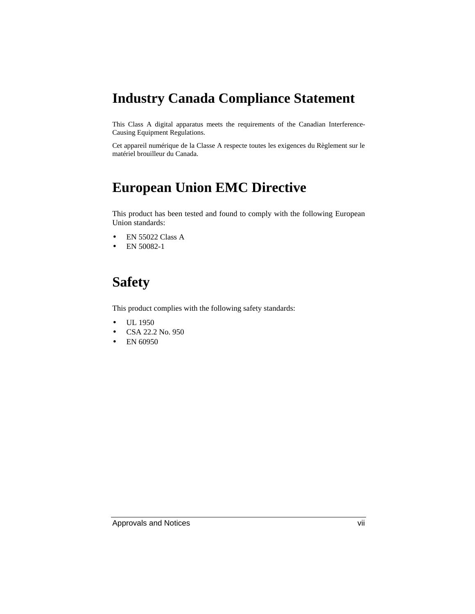# **Industry Canada Compliance Statement**

This Class A digital apparatus meets the requirements of the Canadian Interference-Causing Equipment Regulations.

Cet appareil numérique de la Classe A respecte toutes les exigences du Règlement sur le matériel brouilleur du Canada.

# **European Union EMC Directive**

This product has been tested and found to comply with the following European Union standards:

- EN 55022 Class A
- EN 50082-1

# **Safety**

This product complies with the following safety standards:

- UL 1950
- CSA 22.2 No. 950
- EN 60950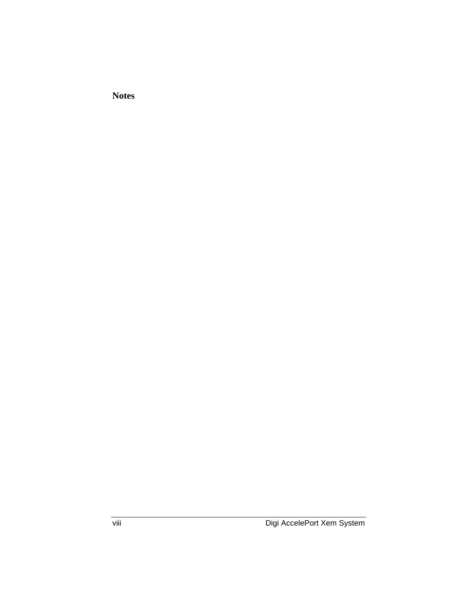**Notes**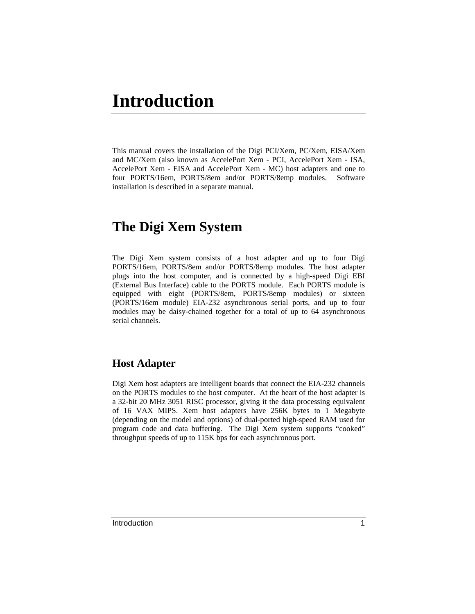# **Introduction**

This manual covers the installation of the Digi PCI/Xem, PC/Xem, EISA/Xem and MC/Xem (also known as AccelePort Xem - PCI, AccelePort Xem - ISA, AccelePort Xem - EISA and AccelePort Xem - MC) host adapters and one to four PORTS/16em, PORTS/8em and/or PORTS/8emp modules. Software installation is described in a separate manual.

# **The Digi Xem System**

The Digi Xem system consists of a host adapter and up to four Digi PORTS/16em, PORTS/8em and/or PORTS/8emp modules. The host adapter plugs into the host computer, and is connected by a high-speed Digi EBI (External Bus Interface) cable to the PORTS module. Each PORTS module is equipped with eight (PORTS/8em, PORTS/8emp modules) or sixteen (PORTS/16em module) EIA-232 asynchronous serial ports, and up to four modules may be daisy-chained together for a total of up to 64 asynchronous serial channels.

#### **Host Adapter**

Digi Xem host adapters are intelligent boards that connect the EIA-232 channels on the PORTS modules to the host computer. At the heart of the host adapter is a 32-bit 20 MHz 3051 RISC processor, giving it the data processing equivalent of 16 VAX MIPS. Xem host adapters have 256K bytes to 1 Megabyte (depending on the model and options) of dual-ported high-speed RAM used for program code and data buffering. The Digi Xem system supports "cooked" throughput speeds of up to 115K bps for each asynchronous port.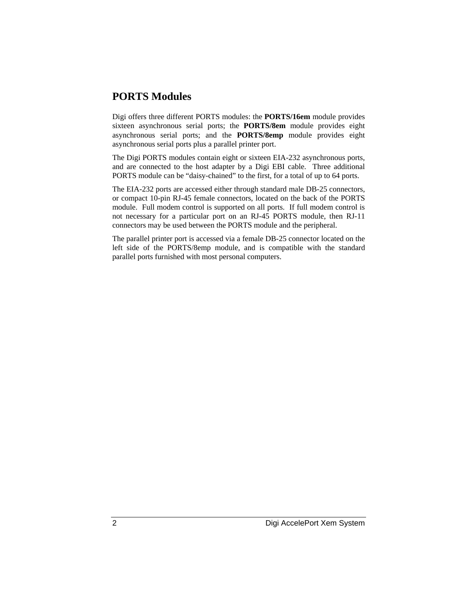#### **PORTS Modules**

Digi offers three different PORTS modules: the **PORTS/16em** module provides sixteen asynchronous serial ports; the **PORTS/8em** module provides eight asynchronous serial ports; and the **PORTS/8emp** module provides eight asynchronous serial ports plus a parallel printer port.

The Digi PORTS modules contain eight or sixteen EIA-232 asynchronous ports, and are connected to the host adapter by a Digi EBI cable. Three additional PORTS module can be "daisy-chained" to the first, for a total of up to 64 ports.

The EIA-232 ports are accessed either through standard male DB-25 connectors, or compact 10-pin RJ-45 female connectors, located on the back of the PORTS module. Full modem control is supported on all ports. If full modem control is not necessary for a particular port on an RJ-45 PORTS module, then RJ-11 connectors may be used between the PORTS module and the peripheral.

The parallel printer port is accessed via a female DB-25 connector located on the left side of the PORTS/8emp module, and is compatible with the standard parallel ports furnished with most personal computers.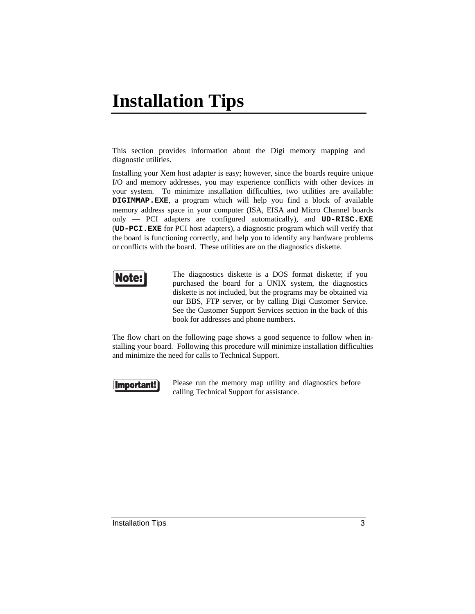# **Installation Tips**

This section provides information about the Digi memory mapping and diagnostic utilities.

Installing your Xem host adapter is easy; however, since the boards require unique I/O and memory addresses, you may experience conflicts with other devices in your system. To minimize installation difficulties, two utilities are available: **DIGIMMAP.EXE**, a program which will help you find a block of available memory address space in your computer (ISA, EISA and Micro Channel boards only — PCI adapters are configured automatically), and **UD-RISC.EXE** (**UD-PCI.EXE** for PCI host adapters), a diagnostic program which will verify that the board is functioning correctly, and help you to identify any hardware problems or conflicts with the board. These utilities are on the diagnostics diskette.



The diagnostics diskette is a DOS format diskette; if you purchased the board for a UNIX system, the diagnostics diskette is not included, but the programs may be obtained via our BBS, FTP server, or by calling Digi Customer Service. See the Customer Support Services section in the back of this book for addresses and phone numbers.

The flow chart on the following page shows a good sequence to follow when installing your board. Following this procedure will minimize installation difficulties and minimize the need for calls to Technical Support.

#### Important!

Please run the memory map utility and diagnostics before calling Technical Support for assistance.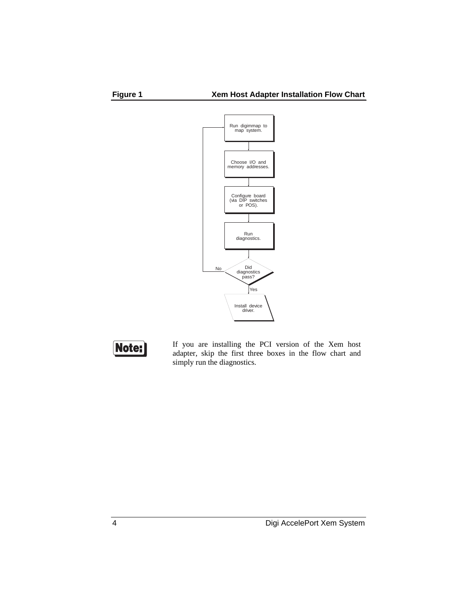





If you are installing the PCI version of the Xem host adapter, skip the first three boxes in the flow chart and simply run the diagnostics.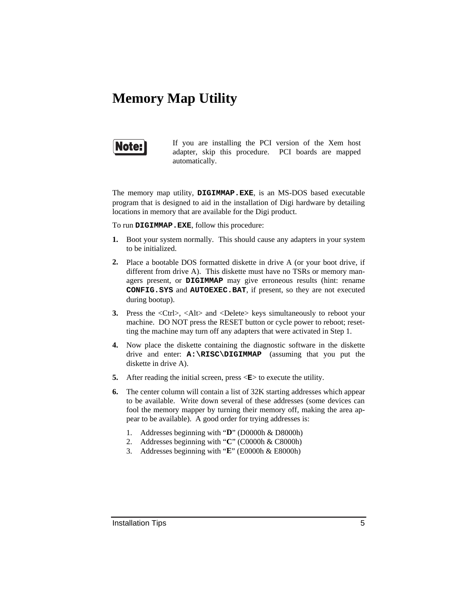# **Memory Map Utility**



If you are installing the PCI version of the Xem host adapter, skip this procedure. PCI boards are mapped automatically.

The memory map utility, **DIGIMMAP.EXE**, is an MS-DOS based executable program that is designed to aid in the installation of Digi hardware by detailing locations in memory that are available for the Digi product.

To run **DIGIMMAP.EXE**, follow this procedure:

- **1.** Boot your system normally. This should cause any adapters in your system to be initialized.
- **2.** Place a bootable DOS formatted diskette in drive A (or your boot drive, if different from drive A). This diskette must have no TSRs or memory managers present, or **DIGIMMAP** may give erroneous results (hint: rename **CONFIG.SYS** and **AUTOEXEC.BAT**, if present, so they are not executed during bootup).
- **3.** Press the <Ctrl>, <Alt> and <Delete> keys simultaneously to reboot your machine. DO NOT press the RESET button or cycle power to reboot; resetting the machine may turn off any adapters that were activated in Step 1.
- **4.** Now place the diskette containing the diagnostic software in the diskette drive and enter: **A:\RISC\DIGIMMAP** (assuming that you put the diskette in drive A).
- **5.** After reading the initial screen, press  $\leq E$  to execute the utility.
- **6.** The center column will contain a list of 32K starting addresses which appear to be available. Write down several of these addresses (some devices can fool the memory mapper by turning their memory off, making the area appear to be available). A good order for trying addresses is:
	- 1. Addresses beginning with "**D**" (D0000h & D8000h)
	- 2. Addresses beginning with "**C**" (C0000h & C8000h)
	- 3. Addresses beginning with "**E**" (E0000h & E8000h)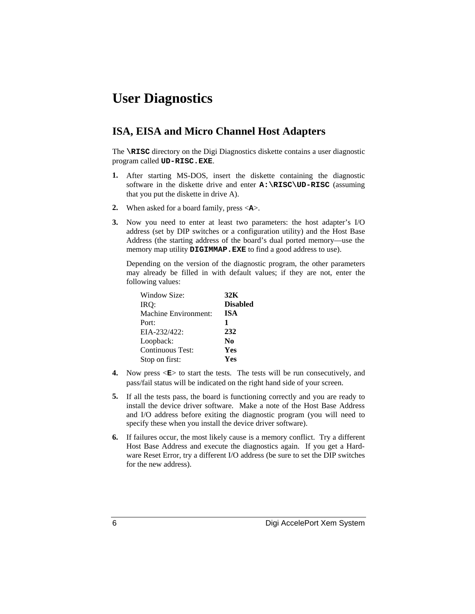# **User Diagnostics**

#### **ISA, EISA and Micro Channel Host Adapters**

The **\RISC** directory on the Digi Diagnostics diskette contains a user diagnostic program called **UD-RISC.EXE**.

- **1.** After starting MS-DOS, insert the diskette containing the diagnostic software in the diskette drive and enter **A:\RISC\UD-RISC** (assuming that you put the diskette in drive A).
- **2.** When asked for a board family, press <**A**>.
- **3.** Now you need to enter at least two parameters: the host adapter's I/O address (set by DIP switches or a configuration utility) and the Host Base Address (the starting address of the board's dual ported memory—use the memory map utility **DIGIMMAP.EXE** to find a good address to use).

Depending on the version of the diagnostic program, the other parameters may already be filled in with default values; if they are not, enter the following values:

| Window Size:         | 32K             |
|----------------------|-----------------|
| IRO:                 | <b>Disabled</b> |
| Machine Environment: | <b>ISA</b>      |
| Port:                | 1               |
| $EIA-232/422$ :      | 232             |
| Loopback:            | N0              |
| Continuous Test:     | Yes             |
| Stop on first:       | Yes             |

- **4.** Now press  $\langle \mathbf{E} \rangle$  to start the tests. The tests will be run consecutively, and pass/fail status will be indicated on the right hand side of your screen.
- **5.** If all the tests pass, the board is functioning correctly and you are ready to install the device driver software. Make a note of the Host Base Address and I/O address before exiting the diagnostic program (you will need to specify these when you install the device driver software).
- **6.** If failures occur, the most likely cause is a memory conflict. Try a different Host Base Address and execute the diagnostics again. If you get a Hardware Reset Error, try a different I/O address (be sure to set the DIP switches for the new address).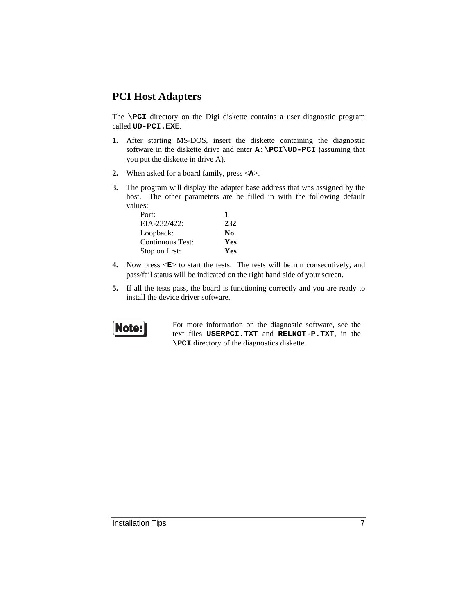#### **PCI Host Adapters**

The **\PCI** directory on the Digi diskette contains a user diagnostic program called **UD-PCI.EXE**.

- **1.** After starting MS-DOS, insert the diskette containing the diagnostic software in the diskette drive and enter **A:\PCI\UD-PCI** (assuming that you put the diskette in drive A).
- **2.** When asked for a board family, press <**A**>.
- **3.** The program will display the adapter base address that was assigned by the host. The other parameters are be filled in with the following default values:

| Port:            |     |
|------------------|-----|
| EIA-232/422:     | 232 |
| Loopback:        | No. |
| Continuous Test: | Yes |
| Stop on first:   | Yes |

- **4.** Now press  $\leq E$  to start the tests. The tests will be run consecutively, and pass/fail status will be indicated on the right hand side of your screen.
- **5.** If all the tests pass, the board is functioning correctly and you are ready to install the device driver software.



For more information on the diagnostic software, see the text files **USERPCI.TXT** and **RELNOT-P.TXT**, in the **\PCI** directory of the diagnostics diskette.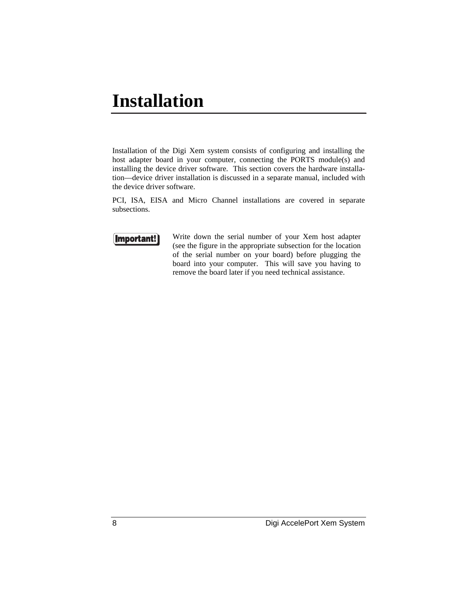# **Installation**

Installation of the Digi Xem system consists of configuring and installing the host adapter board in your computer, connecting the PORTS module(s) and installing the device driver software. This section covers the hardware installation—device driver installation is discussed in a separate manual, included with the device driver software.

PCI, ISA, EISA and Micro Channel installations are covered in separate subsections.



Write down the serial number of your Xem host adapter (see the figure in the appropriate subsection for the location of the serial number on your board) before plugging the board into your computer. This will save you having to remove the board later if you need technical assistance.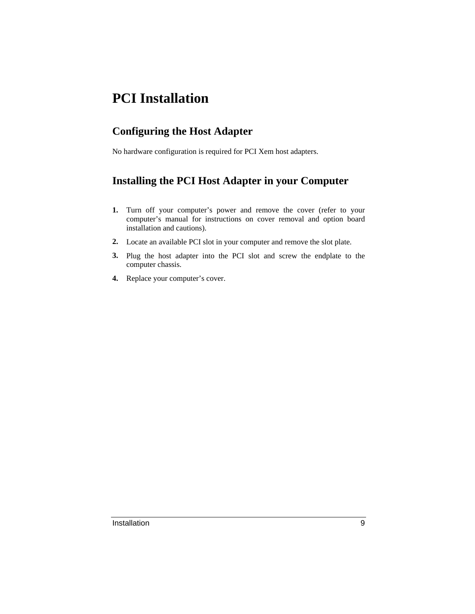# **PCI Installation**

### **Configuring the Host Adapter**

No hardware configuration is required for PCI Xem host adapters.

### **Installing the PCI Host Adapter in your Computer**

- **1.** Turn off your computer's power and remove the cover (refer to your computer's manual for instructions on cover removal and option board installation and cautions).
- **2.** Locate an available PCI slot in your computer and remove the slot plate.
- **3.** Plug the host adapter into the PCI slot and screw the endplate to the computer chassis.
- **4.** Replace your computer's cover.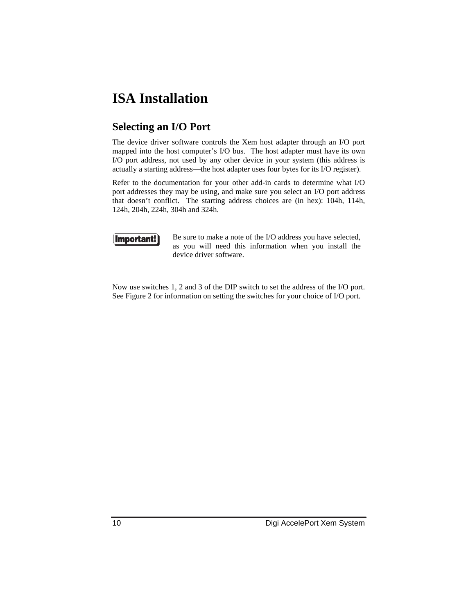# **ISA Installation**

### **Selecting an I/O Port**

The device driver software controls the Xem host adapter through an I/O port mapped into the host computer's I/O bus. The host adapter must have its own I/O port address, not used by any other device in your system (this address is actually a starting address—the host adapter uses four bytes for its I/O register).

Refer to the documentation for your other add-in cards to determine what I/O port addresses they may be using, and make sure you select an I/O port address that doesn't conflict. The starting address choices are (in hex): 104h, 114h, 124h, 204h, 224h, 304h and 324h.



Be sure to make a note of the I/O address you have selected, as you will need this information when you install the device driver software.

Now use switches 1, 2 and 3 of the DIP switch to set the address of the I/O port. See Figure 2 for information on setting the switches for your choice of I/O port.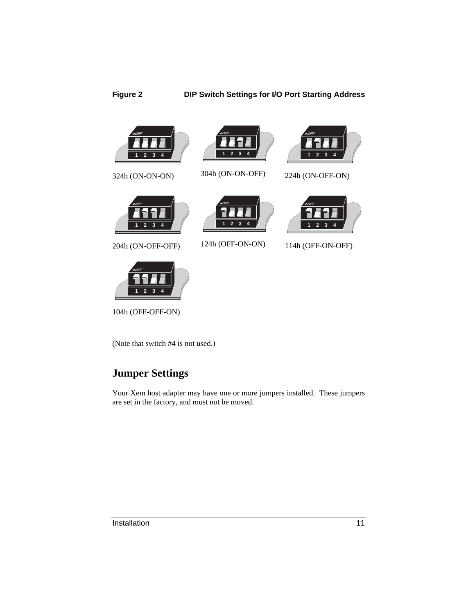



304h (ON-ON-OFF)



224h (ON-OFF-ON)

324h (ON-ON-ON)



204h (ON-OFF-OFF)





124h (OFF-ON-ON)



114h (OFF-ON-OFF)

104h (OFF-OFF-ON)

(Note that switch #4 is not used.)

# **Jumper Settings**

Your Xem host adapter may have one or more jumpers installed. These jumpers are set in the factory, and must not be moved.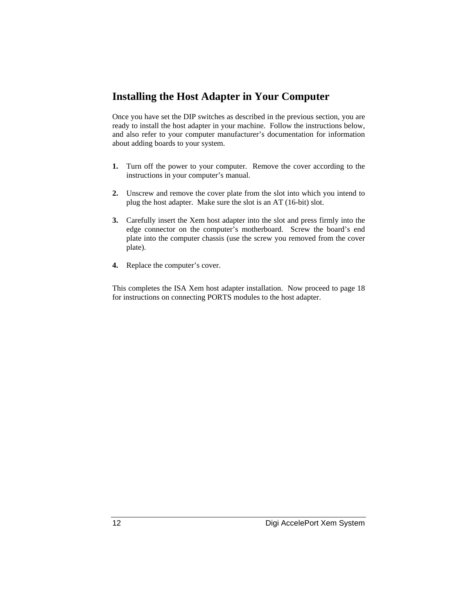#### **Installing the Host Adapter in Your Computer**

Once you have set the DIP switches as described in the previous section, you are ready to install the host adapter in your machine. Follow the instructions below, and also refer to your computer manufacturer's documentation for information about adding boards to your system.

- **1.** Turn off the power to your computer. Remove the cover according to the instructions in your computer's manual.
- **2.** Unscrew and remove the cover plate from the slot into which you intend to plug the host adapter. Make sure the slot is an AT (16-bit) slot.
- **3.** Carefully insert the Xem host adapter into the slot and press firmly into the edge connector on the computer's motherboard. Screw the board's end plate into the computer chassis (use the screw you removed from the cover plate).
- **4.** Replace the computer's cover.

This completes the ISA Xem host adapter installation. Now proceed to page 18 for instructions on connecting PORTS modules to the host adapter.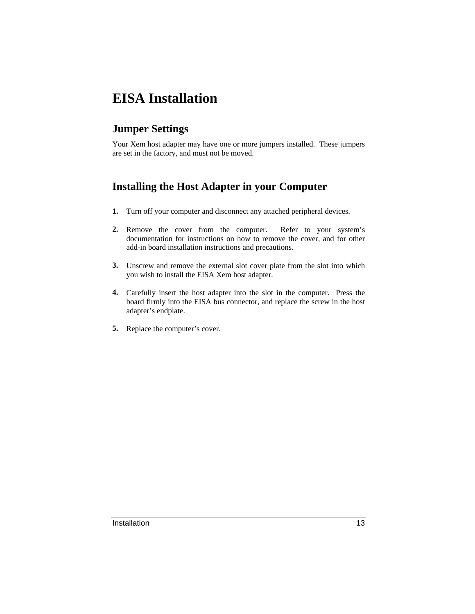# **EISA Installation**

### **Jumper Settings**

Your Xem host adapter may have one or more jumpers installed. These jumpers are set in the factory, and must not be moved.

### **Installing the Host Adapter in your Computer**

- **1.** Turn off your computer and disconnect any attached peripheral devices.
- **2.** Remove the cover from the computer. Refer to your system's documentation for instructions on how to remove the cover, and for other add-in board installation instructions and precautions.
- **3.** Unscrew and remove the external slot cover plate from the slot into which you wish to install the EISA Xem host adapter.
- **4.** Carefully insert the host adapter into the slot in the computer. Press the board firmly into the EISA bus connector, and replace the screw in the host adapter's endplate.
- **5.** Replace the computer's cover.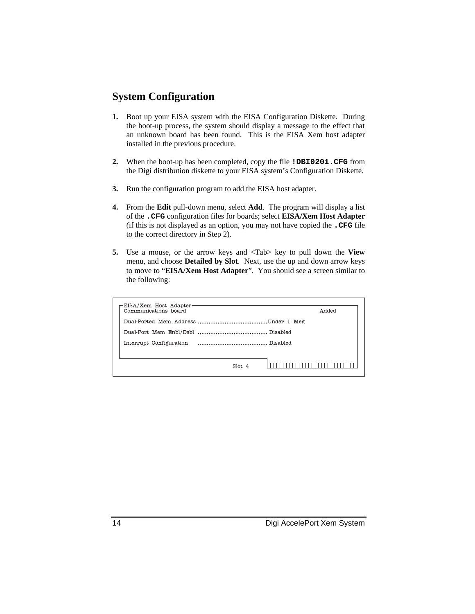#### **System Configuration**

- **1.** Boot up your EISA system with the EISA Configuration Diskette. During the boot-up process, the system should display a message to the effect that an unknown board has been found. This is the EISA Xem host adapter installed in the previous procedure.
- **2.** When the boot-up has been completed, copy the file **!DBI0201.CFG** from the Digi distribution diskette to your EISA system's Configuration Diskette.
- **3.** Run the configuration program to add the EISA host adapter.
- **4.** From the **Edit** pull-down menu, select **Add**. The program will display a list of the **.CFG** configuration files for boards; select **EISA/Xem Host Adapter** (if this is not displayed as an option, you may not have copied the **.CFG** file to the correct directory in Step 2).
- **5.** Use a mouse, or the arrow keys and <Tab> key to pull down the **View** menu, and choose **Detailed by Slot**. Next, use the up and down arrow keys to move to "**EISA/Xem Host Adapter**". You should see a screen similar to the following:

| Communications board    | babbA |
|-------------------------|-------|
|                         |       |
|                         |       |
| Interrupt Configuration |       |
|                         |       |
| Slot <sub>4</sub>       |       |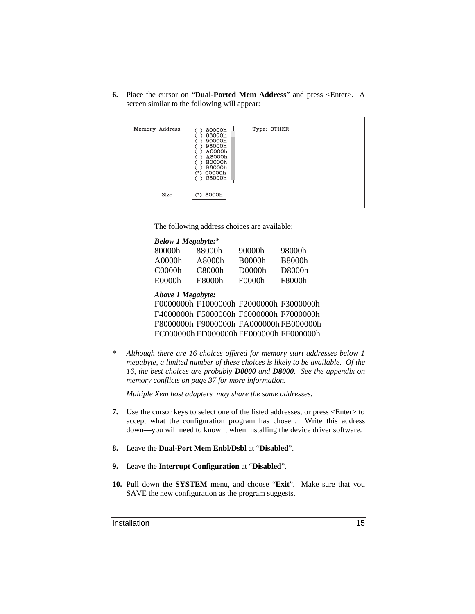**6.** Place the cursor on "**Dual-Ported Mem Address**" and press <Enter>. A screen similar to the following will appear:

| Memory Address | 80000h<br>88000h<br>90000h<br>98000h<br>A0000h<br>A8000h<br><b>B0000h</b><br><b>B8000h</b><br>C0000h<br>×<br>C8000h | Type: OTHER |  |
|----------------|---------------------------------------------------------------------------------------------------------------------|-------------|--|
| Size           | (*) 8000h                                                                                                           |             |  |

The following address choices are available:

| <b>Below 1 Megabyte:*</b> |                                         |               |               |
|---------------------------|-----------------------------------------|---------------|---------------|
| 80000h                    | 88000h                                  | 90000h        | 98000h        |
| A0000h                    | A8000h                                  | <b>B0000h</b> | <b>B8000h</b> |
| C <sub>0000h</sub>        | C8000h                                  | D0000h        | D8000h        |
| E0000h                    | E8000h                                  | F0000h        | F8000h        |
| <b>Above 1 Megabyte:</b>  |                                         |               |               |
|                           | F0000000h F1000000h F2000000h F3000000h |               |               |
|                           | F4000000h F5000000h F6000000h F7000000h |               |               |
|                           | F8000000h F9000000h FA000000h FB000000h |               |               |
|                           | FC000000h FD000000h FE000000h FF000000h |               |               |
|                           |                                         |               |               |

*\* Although there are 16 choices offered for memory start addresses below 1 megabyte, a limited number of these choices is likely to be available. Of the 16, the best choices are probably D0000 and D8000. See the appendix on memory conflicts on page 37 for more information.*

*Multiple Xem host adapters may share the same addresses.*

- **7.** Use the cursor keys to select one of the listed addresses, or press <Enter> to accept what the configuration program has chosen. Write this address down—you will need to know it when installing the device driver software.
- **8.** Leave the **Dual-Port Mem Enbl/Dsbl** at "**Disabled**".
- **9.** Leave the **Interrupt Configuration** at "**Disabled**".
- **10.** Pull down the **SYSTEM** menu, and choose "**Exit**". Make sure that you SAVE the new configuration as the program suggests.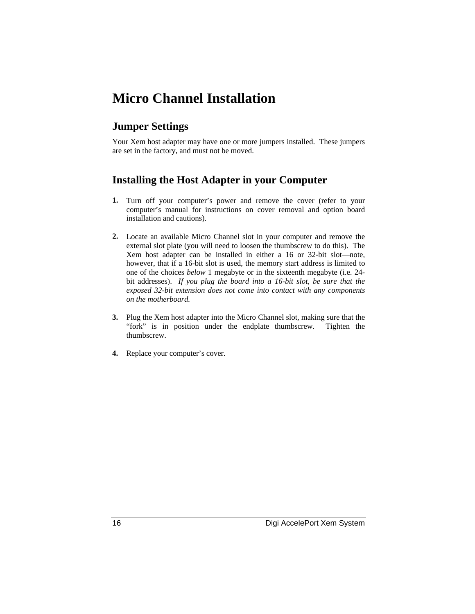# **Micro Channel Installation**

#### **Jumper Settings**

Your Xem host adapter may have one or more jumpers installed. These jumpers are set in the factory, and must not be moved.

#### **Installing the Host Adapter in your Computer**

- **1.** Turn off your computer's power and remove the cover (refer to your computer's manual for instructions on cover removal and option board installation and cautions).
- **2.** Locate an available Micro Channel slot in your computer and remove the external slot plate (you will need to loosen the thumbscrew to do this). The Xem host adapter can be installed in either a 16 or 32-bit slot—note, however, that if a 16-bit slot is used, the memory start address is limited to one of the choices *below* 1 megabyte or in the sixteenth megabyte (i.e. 24 bit addresses). *If you plug the board into a 16-bit slot, be sure that the exposed 32-bit extension does not come into contact with any components on the motherboard.*
- **3.** Plug the Xem host adapter into the Micro Channel slot, making sure that the "fork" is in position under the endplate thumbscrew. Tighten the thumbscrew.
- **4.** Replace your computer's cover.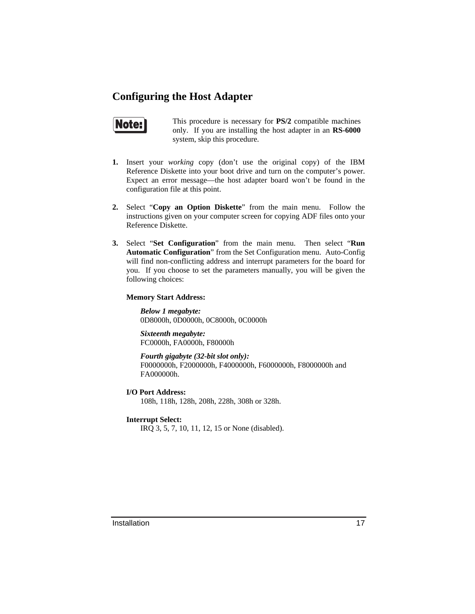#### **Configuring the Host Adapter**



This procedure is necessary for **PS/2** compatible machines only. If you are installing the host adapter in an **RS-6000** system, skip this procedure.

- **1.** Insert your *working* copy (don't use the original copy) of the IBM Reference Diskette into your boot drive and turn on the computer's power. Expect an error message—the host adapter board won't be found in the configuration file at this point.
- **2.** Select "**Copy an Option Diskette**" from the main menu. Follow the instructions given on your computer screen for copying ADF files onto your Reference Diskette.
- **3.** Select "**Set Configuration**" from the main menu. Then select "**Run Automatic Configuration**" from the Set Configuration menu. Auto-Config will find non-conflicting address and interrupt parameters for the board for you. If you choose to set the parameters manually, you will be given the following choices:

#### **Memory Start Address:**

*Below 1 megabyte:* 0D8000h, 0D0000h, 0C8000h, 0C0000h

*Sixteenth megabyte:* FC0000h, FA0000h, F80000h

*Fourth gigabyte (32-bit slot only):* F0000000h, F2000000h, F4000000h, F6000000h, F8000000h and FA000000h.

- **I/O Port Address:** 108h, 118h, 128h, 208h, 228h, 308h or 328h.
- **Interrupt Select:**

IRQ 3, 5, 7, 10, 11, 12, 15 or None (disabled).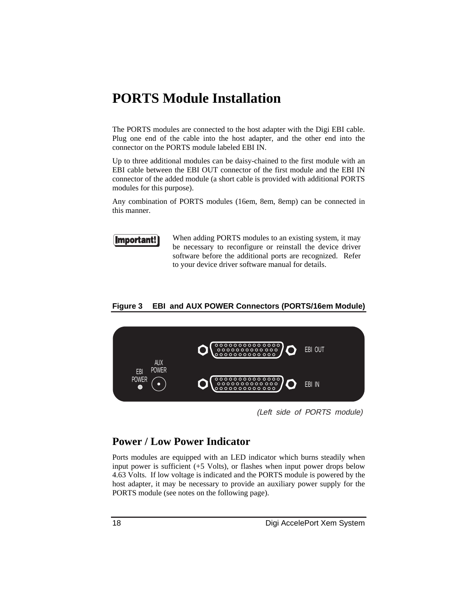# **PORTS Module Installation**

The PORTS modules are connected to the host adapter with the Digi EBI cable. Plug one end of the cable into the host adapter, and the other end into the connector on the PORTS module labeled EBI IN.

Up to three additional modules can be daisy-chained to the first module with an EBI cable between the EBI OUT connector of the first module and the EBI IN connector of the added module (a short cable is provided with additional PORTS modules for this purpose).

Any combination of PORTS modules (16em, 8em, 8emp) can be connected in this manner.



When adding PORTS modules to an existing system, it may be necessary to reconfigure or reinstall the device driver software before the additional ports are recognized. Refer to your device driver software manual for details.

#### **Figure 3 EBI and AUX POWER Connectors (PORTS/16em Module)**



(Left side of PORTS module)

#### **Power / Low Power Indicator**

Ports modules are equipped with an LED indicator which burns steadily when input power is sufficient (+5 Volts), or flashes when input power drops below 4.63 Volts. If low voltage is indicated and the PORTS module is powered by the host adapter, it may be necessary to provide an auxiliary power supply for the PORTS module (see notes on the following page).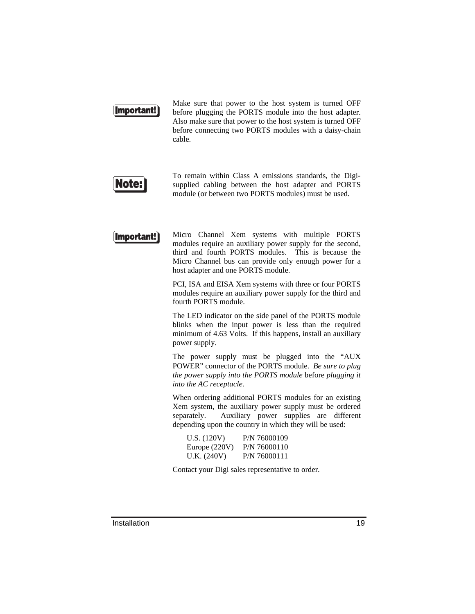

Make sure that power to the host system is turned OFF before plugging the PORTS module into the host adapter. Also make sure that power to the host system is turned OFF before connecting two PORTS modules with a daisy-chain cable.



To remain within Class A emissions standards, the Digisupplied cabling between the host adapter and PORTS module (or between two PORTS modules) must be used.



Micro Channel Xem systems with multiple PORTS modules require an auxiliary power supply for the second, third and fourth PORTS modules. This is because the Micro Channel bus can provide only enough power for a host adapter and one PORTS module.

PCI, ISA and EISA Xem systems with three or four PORTS modules require an auxiliary power supply for the third and fourth PORTS module.

The LED indicator on the side panel of the PORTS module blinks when the input power is less than the required minimum of 4.63 Volts. If this happens, install an auxiliary power supply.

The power supply must be plugged into the "AUX POWER" connector of the PORTS module. *Be sure to plug the power supply into the PORTS module* before *plugging it into the AC receptacle*.

When ordering additional PORTS modules for an existing Xem system, the auxiliary power supply must be ordered separately. Auxiliary power supplies are different depending upon the country in which they will be used:

| U.S. (120V)     | P/N 76000109 |
|-----------------|--------------|
| Europe $(220V)$ | P/N 76000110 |
| U.K. (240V)     | P/N 76000111 |

Contact your Digi sales representative to order.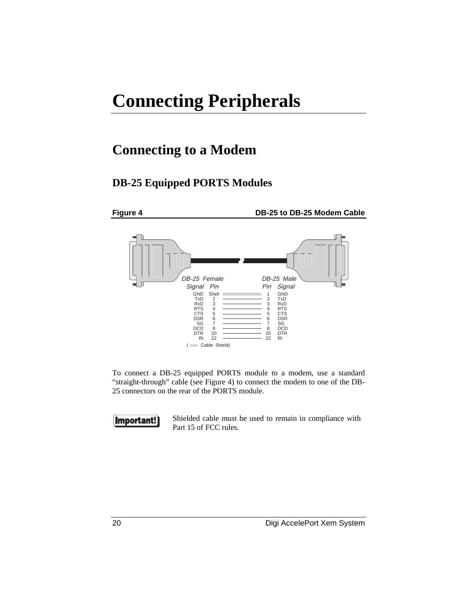# **Connecting Peripherals**

# **Connecting to a Modem**

#### **DB-25 Equipped PORTS Modules**



To connect a DB-25 equipped PORTS module to a modem, use a standard "straight-through" cable (see Figure 4) to connect the modem to one of the DB-25 connectors on the rear of the PORTS module.

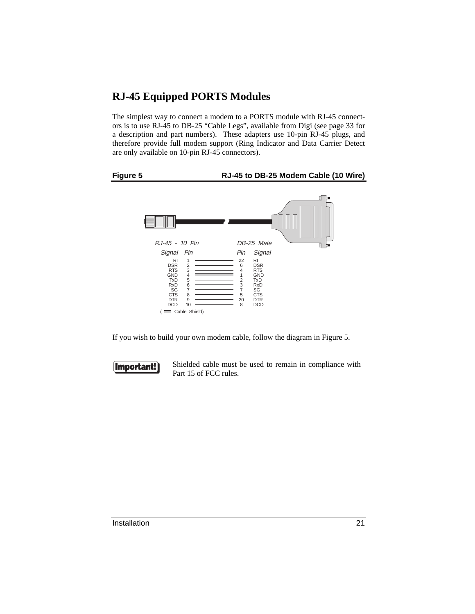### **RJ-45 Equipped PORTS Modules**

The simplest way to connect a modem to a PORTS module with RJ-45 connectors is to use RJ-45 to DB-25 "Cable Legs", available from Digi (see page 33 for a description and part numbers). These adapters use 10-pin RJ-45 plugs, and therefore provide full modem support (Ring Indicator and Data Carrier Detect are only available on 10-pin RJ-45 connectors).

## **Figure 5 RJ-45 to DB-25 Modem Cable (10 Wire)**



If you wish to build your own modem cable, follow the diagram in Figure 5.

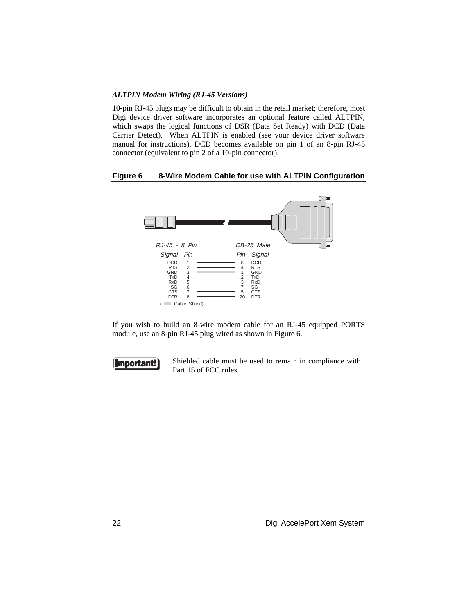#### *ALTPIN Modem Wiring (RJ-45 Versions)*

10-pin RJ-45 plugs may be difficult to obtain in the retail market; therefore, most Digi device driver software incorporates an optional feature called ALTPIN, which swaps the logical functions of DSR (Data Set Ready) with DCD (Data Carrier Detect). When ALTPIN is enabled (see your device driver software manual for instructions), DCD becomes available on pin 1 of an 8-pin RJ-45 connector (equivalent to pin 2 of a 10-pin connector).

#### **Figure 6 8-Wire Modem Cable for use with ALTPIN Configuration**



If you wish to build an 8-wire modem cable for an RJ-45 equipped PORTS module, use an 8-pin RJ-45 plug wired as shown in Figure 6.

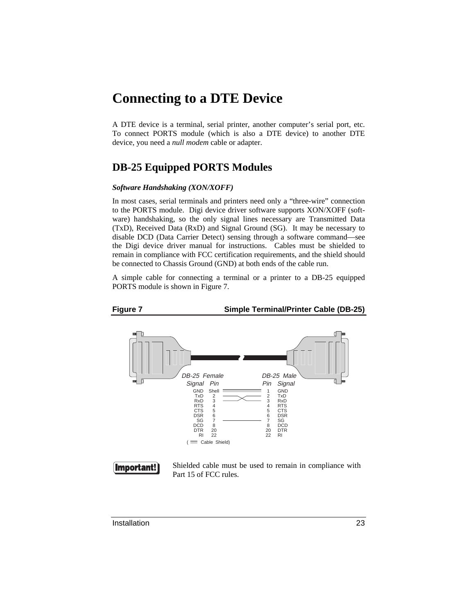# **Connecting to a DTE Device**

A DTE device is a terminal, serial printer, another computer's serial port, etc. To connect PORTS module (which is also a DTE device) to another DTE device, you need a *null modem* cable or adapter.

#### **DB-25 Equipped PORTS Modules**

#### *Software Handshaking (XON/XOFF)*

In most cases, serial terminals and printers need only a "three-wire" connection to the PORTS module. Digi device driver software supports XON/XOFF (software) handshaking, so the only signal lines necessary are Transmitted Data (TxD), Received Data (RxD) and Signal Ground (SG). It may be necessary to disable DCD (Data Carrier Detect) sensing through a software command—see the Digi device driver manual for instructions. Cables must be shielded to remain in compliance with FCC certification requirements, and the shield should be connected to Chassis Ground (GND) at both ends of the cable run.

A simple cable for connecting a terminal or a printer to a DB-25 equipped PORTS module is shown in Figure 7.





Installation 23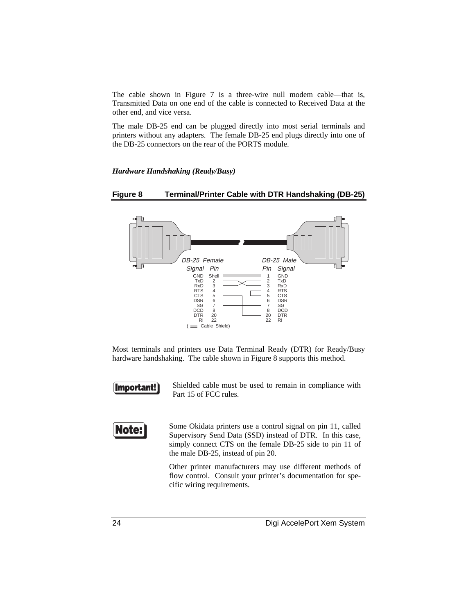The cable shown in Figure 7 is a three-wire null modem cable—that is, Transmitted Data on one end of the cable is connected to Received Data at the other end, and vice versa.

The male DB-25 end can be plugged directly into most serial terminals and printers without any adapters. The female DB-25 end plugs directly into one of the DB-25 connectors on the rear of the PORTS module.

#### *Hardware Handshaking (Ready/Busy)*

#### **Figure 8 Terminal/Printer Cable with DTR Handshaking (DB-25)**



Most terminals and printers use Data Terminal Ready (DTR) for Ready/Busy hardware handshaking. The cable shown in Figure 8 supports this method.



Shielded cable must be used to remain in compliance with Part 15 of FCC rules.

Note:

Some Okidata printers use a control signal on pin 11, called Supervisory Send Data (SSD) instead of DTR. In this case, simply connect CTS on the female DB-25 side to pin 11 of the male DB-25, instead of pin 20.

Other printer manufacturers may use different methods of flow control. Consult your printer's documentation for specific wiring requirements.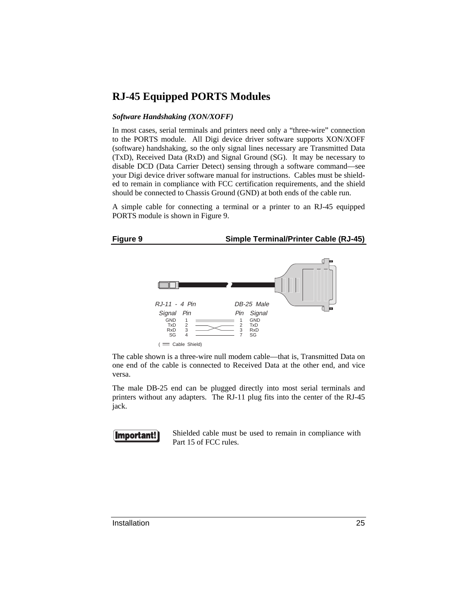#### **RJ-45 Equipped PORTS Modules**

#### *Software Handshaking (XON/XOFF)*

In most cases, serial terminals and printers need only a "three-wire" connection to the PORTS module. All Digi device driver software supports XON/XOFF (software) handshaking, so the only signal lines necessary are Transmitted Data (TxD), Received Data (RxD) and Signal Ground (SG). It may be necessary to disable DCD (Data Carrier Detect) sensing through a software command—see your Digi device driver software manual for instructions. Cables must be shielded to remain in compliance with FCC certification requirements, and the shield should be connected to Chassis Ground (GND) at both ends of the cable run.

A simple cable for connecting a terminal or a printer to an RJ-45 equipped PORTS module is shown in Figure 9.



The cable shown is a three-wire null modem cable—that is, Transmitted Data on one end of the cable is connected to Received Data at the other end, and vice versa.

The male DB-25 end can be plugged directly into most serial terminals and printers without any adapters. The RJ-11 plug fits into the center of the RJ-45 jack.

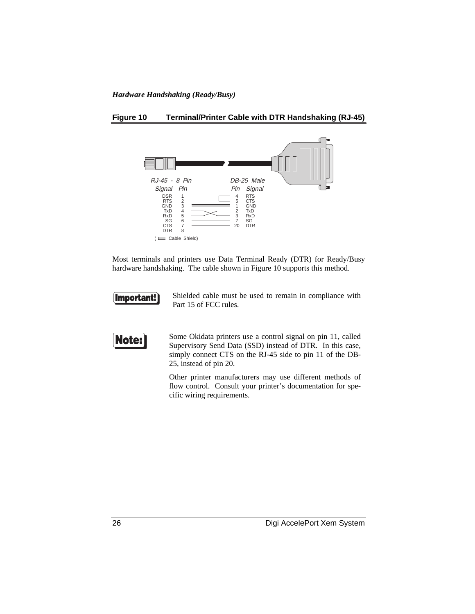#### *Hardware Handshaking (Ready/Busy)*

#### **Figure 10 Terminal/Printer Cable with DTR Handshaking (RJ-45)**



Most terminals and printers use Data Terminal Ready (DTR) for Ready/Busy hardware handshaking. The cable shown in Figure 10 supports this method.



Shielded cable must be used to remain in compliance with Part 15 of FCC rules.



Some Okidata printers use a control signal on pin 11, called Supervisory Send Data (SSD) instead of DTR. In this case, simply connect CTS on the RJ-45 side to pin 11 of the DB-25, instead of pin 20.

Other printer manufacturers may use different methods of flow control. Consult your printer's documentation for specific wiring requirements.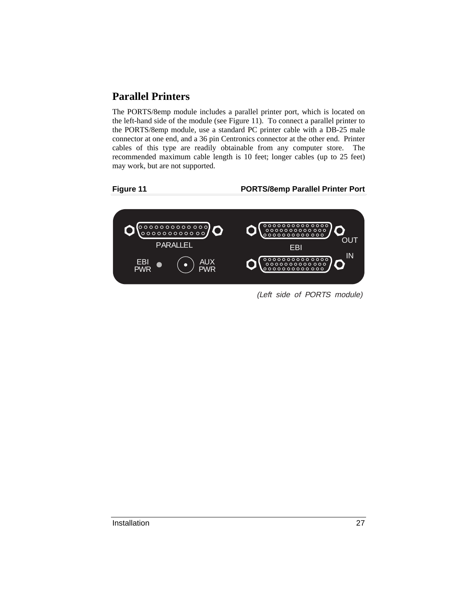#### **Parallel Printers**

The PORTS/8emp module includes a parallel printer port, which is located on the left-hand side of the module (see Figure 11). To connect a parallel printer to the PORTS/8emp module, use a standard PC printer cable with a DB-25 male connector at one end, and a 36 pin Centronics connector at the other end. Printer cables of this type are readily obtainable from any computer store. The recommended maximum cable length is 10 feet; longer cables (up to 25 feet) may work, but are not supported.

#### **Figure 11 PORTS/8emp Parallel Printer Port**



(Left side of PORTS module)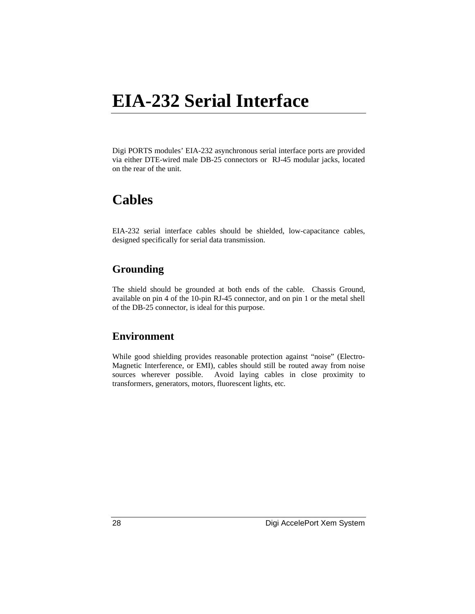# **EIA-232 Serial Interface**

Digi PORTS modules' EIA-232 asynchronous serial interface ports are provided via either DTE-wired male DB-25 connectors or RJ-45 modular jacks, located on the rear of the unit.

# **Cables**

EIA-232 serial interface cables should be shielded, low-capacitance cables, designed specifically for serial data transmission.

#### **Grounding**

The shield should be grounded at both ends of the cable. Chassis Ground, available on pin 4 of the 10-pin RJ-45 connector, and on pin 1 or the metal shell of the DB-25 connector, is ideal for this purpose.

#### **Environment**

While good shielding provides reasonable protection against "noise" (Electro-Magnetic Interference, or EMI), cables should still be routed away from noise sources wherever possible. Avoid laying cables in close proximity to transformers, generators, motors, fluorescent lights, etc.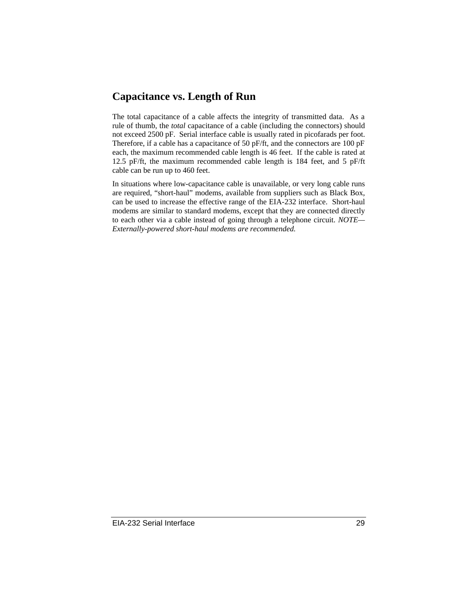#### **Capacitance vs. Length of Run**

The total capacitance of a cable affects the integrity of transmitted data. As a rule of thumb, the *total* capacitance of a cable (including the connectors) should not exceed 2500 pF. Serial interface cable is usually rated in picofarads per foot. Therefore, if a cable has a capacitance of 50 pF/ft, and the connectors are 100 pF each, the maximum recommended cable length is 46 feet. If the cable is rated at 12.5 pF/ft, the maximum recommended cable length is 184 feet, and 5 pF/ft cable can be run up to 460 feet.

In situations where low-capacitance cable is unavailable, or very long cable runs are required, "short-haul" modems, available from suppliers such as Black Box, can be used to increase the effective range of the EIA-232 interface. Short-haul modems are similar to standard modems, except that they are connected directly to each other via a cable instead of going through a telephone circuit. *NOTE— Externally-powered short-haul modems are recommended.*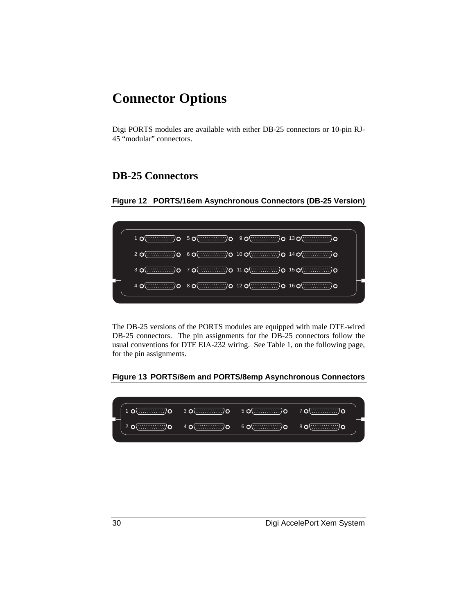# **Connector Options**

Digi PORTS modules are available with either DB-25 connectors or 10-pin RJ-45 "modular" connectors.

### **DB-25 Connectors**





The DB-25 versions of the PORTS modules are equipped with male DTE-wired DB-25 connectors. The pin assignments for the DB-25 connectors follow the usual conventions for DTE EIA-232 wiring. See Table 1, on the following page, for the pin assignments.

#### **Figure 13 PORTS/8em and PORTS/8emp Asynchronous Connectors**

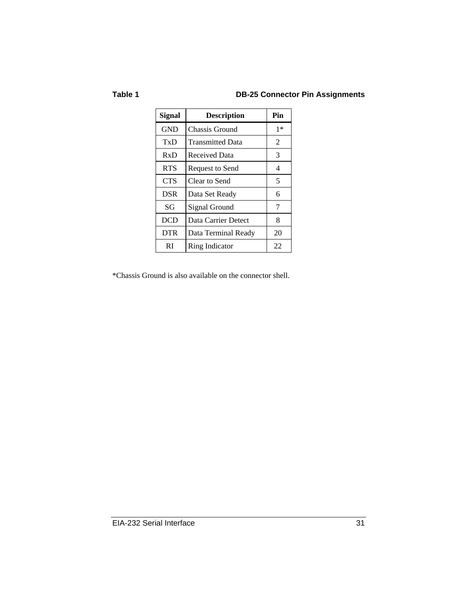#### **Table 1 DB-25 Connector Pin Assignments**

| <b>Signal</b> | <b>Description</b>      | Pin  |
|---------------|-------------------------|------|
| <b>GND</b>    | Chassis Ground          | $1*$ |
| TxD           | <b>Transmitted Data</b> | 2    |
| RxD           | <b>Received Data</b>    | 3    |
| <b>RTS</b>    | Request to Send         | 4    |
| <b>CTS</b>    | Clear to Send           | 5    |
| <b>DSR</b>    | Data Set Ready          | 6    |
| SG            | Signal Ground           | 7    |
| <b>DCD</b>    | Data Carrier Detect     | 8    |
| <b>DTR</b>    | Data Terminal Ready     | 20   |
| RI            | Ring Indicator          | 22   |

\*Chassis Ground is also available on the connector shell.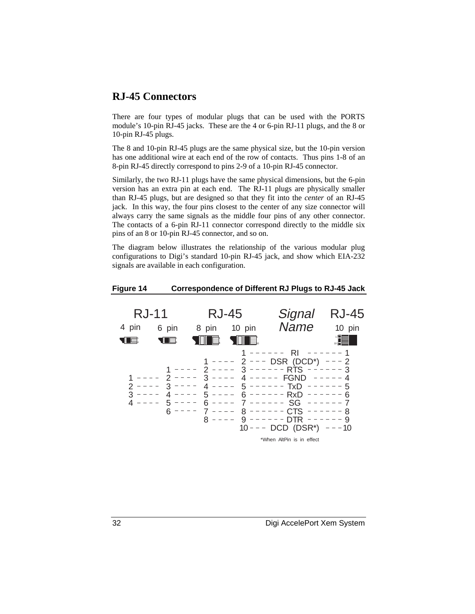#### **RJ-45 Connectors**

There are four types of modular plugs that can be used with the PORTS module's 10-pin RJ-45 jacks. These are the 4 or 6-pin RJ-11 plugs, and the 8 or 10-pin RJ-45 plugs.

The 8 and 10-pin RJ-45 plugs are the same physical size, but the 10-pin version has one additional wire at each end of the row of contacts. Thus pins 1-8 of an 8-pin RJ-45 directly correspond to pins 2-9 of a 10-pin RJ-45 connector.

Similarly, the two RJ-11 plugs have the same physical dimensions, but the 6-pin version has an extra pin at each end. The RJ-11 plugs are physically smaller than RJ-45 plugs, but are designed so that they fit into the *center* of an RJ-45 jack. In this way, the four pins closest to the center of any size connector will always carry the same signals as the middle four pins of any other connector. The contacts of a 6-pin RJ-11 connector correspond directly to the middle six pins of an 8 or 10-pin RJ-45 connector, and so on.

The diagram below illustrates the relationship of the various modular plug configurations to Digi's standard 10-pin RJ-45 jack, and show which EIA-232 signals are available in each configuration.

#### **Figure 14 Correspondence of Different RJ Plugs to RJ-45 Jack**

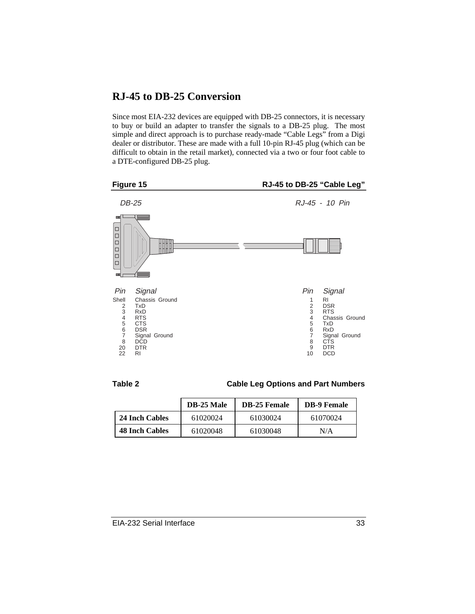#### **RJ-45 to DB-25 Conversion**

Since most EIA-232 devices are equipped with DB-25 connectors, it is necessary to buy or build an adapter to transfer the signals to a DB-25 plug. The most simple and direct approach is to purchase ready-made "Cable Legs" from a Digi dealer or distributor. These are made with a full 10-pin RJ-45 plug (which can be difficult to obtain in the retail market), connected via a two or four foot cable to a DTE-configured DB-25 plug.





**Table 2 Cable Leg Options and Part Numbers**

|                       | <b>DB-25 Male</b> | <b>DB-25 Female</b> | <b>DB-9 Female</b> |
|-----------------------|-------------------|---------------------|--------------------|
| 24 Inch Cables        | 61020024          | 61030024            | 61070024           |
| <b>48 Inch Cables</b> | 61020048          | 61030048            | N/A                |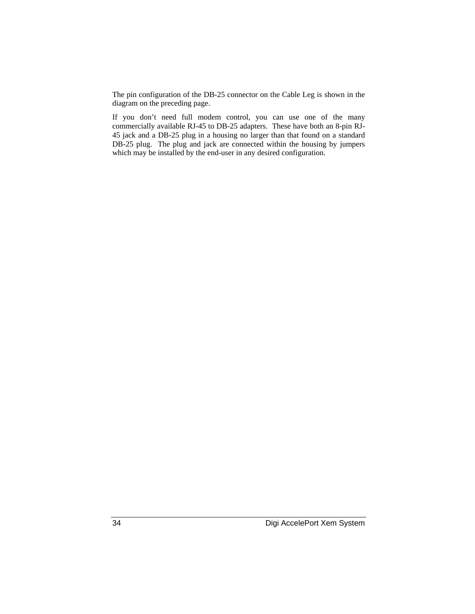The pin configuration of the DB-25 connector on the Cable Leg is shown in the diagram on the preceding page.

If you don't need full modem control, you can use one of the many commercially available RJ-45 to DB-25 adapters. These have both an 8-pin RJ-45 jack and a DB-25 plug in a housing no larger than that found on a standard DB-25 plug. The plug and jack are connected within the housing by jumpers which may be installed by the end-user in any desired configuration.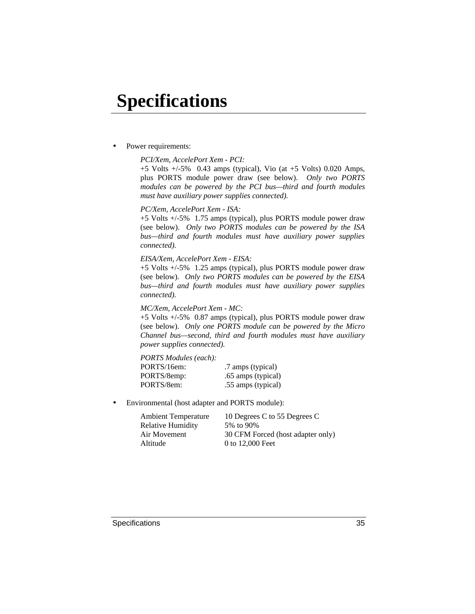# **Specifications**

Power requirements:

#### *PCI/Xem, AccelePort Xem - PCI:*

+5 Volts +/-5% 0.43 amps (typical), Vio (at +5 Volts) 0.020 Amps, plus PORTS module power draw (see below). *Only two PORTS modules can be powered by the PCI bus—third and fourth modules must have auxiliary power supplies connected).*

#### *PC/Xem, AccelePort Xem - ISA:*

+5 Volts +/-5% 1.75 amps (typical), plus PORTS module power draw (see below). *Only two PORTS modules can be powered by the ISA bus—third and fourth modules must have auxiliary power supplies connected).*

#### *EISA/Xem, AccelePort Xem - EISA:*

+5 Volts +/-5% 1.25 amps (typical), plus PORTS module power draw (see below). *Only two PORTS modules can be powered by the EISA bus—third and fourth modules must have auxiliary power supplies connected).*

#### *MC/Xem, AccelePort Xem - MC:*

+5 Volts +/-5% 0.87 amps (typical), plus PORTS module power draw (see below). *Only one PORTS module can be powered by the Micro Channel bus—second, third and fourth modules must have auxiliary power supplies connected).*

*PORTS Modules (each):* PORTS/16em: .7 amps (typical) PORTS/8emp: .65 amps (typical) PORTS/8em: .55 amps (typical)

• Environmental (host adapter and PORTS module):

| <b>Ambient Temperature</b> | 10 Degrees C to 55 Degrees C      |
|----------------------------|-----------------------------------|
| Relative Humidity          | 5% to 90%                         |
| Air Movement               | 30 CFM Forced (host adapter only) |
| Altitude                   | 0 to 12,000 Feet                  |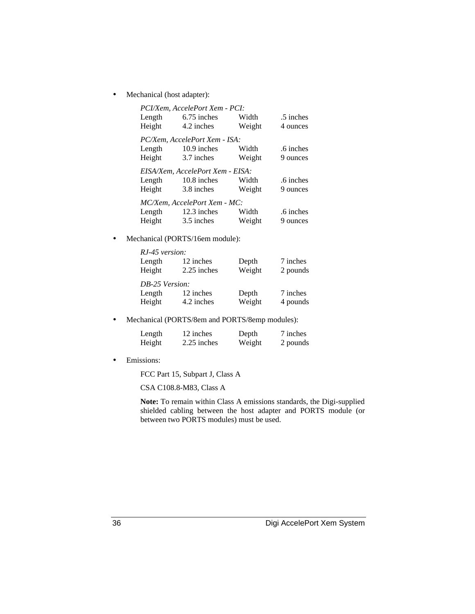• Mechanical (host adapter):

|        | PCI/Xem, AccelePort Xem - PCI:   |        |           |
|--------|----------------------------------|--------|-----------|
| Length | $6.75$ inches                    | Width  | .5 inches |
| Height | 4.2 inches                       | Weight | 4 ounces  |
|        | PC/Xem, AccelePort Xem - ISA:    |        |           |
| Length | 10.9 inches                      | Width  | .6 inches |
| Height | 3.7 inches                       | Weight | 9 ounces  |
|        |                                  |        |           |
|        | EISA/Xem, AccelePort Xem - EISA: |        |           |
| Length | 10.8 inches                      | Width  | .6 inches |
| Height | 3.8 inches                       | Weight | 9 ounces  |
|        | MC/Xem, AccelePort Xem - MC:     |        |           |
| Length | 12.3 inches                      | Width  | .6 inches |

• Mechanical (PORTS/16em module):

| RJ-45 version: |             |        |          |
|----------------|-------------|--------|----------|
| Length         | 12 inches   | Depth  | 7 inches |
| Height         | 2.25 inches | Weight | 2 pounds |
| DB-25 Version: |             |        |          |
| Length         | 12 inches   | Depth  | 7 inches |
| Height         | 4.2 inches  | Weight | 4 pounds |

• Mechanical (PORTS/8em and PORTS/8emp modules):

| Length | 12 inches   | Depth  | 7 inches |
|--------|-------------|--------|----------|
| Height | 2.25 inches | Weight | 2 pounds |

• Emissions:

FCC Part 15, Subpart J, Class A

CSA C108.8-M83, Class A

**Note:** To remain within Class A emissions standards, the Digi-supplied shielded cabling between the host adapter and PORTS module (or between two PORTS modules) must be used.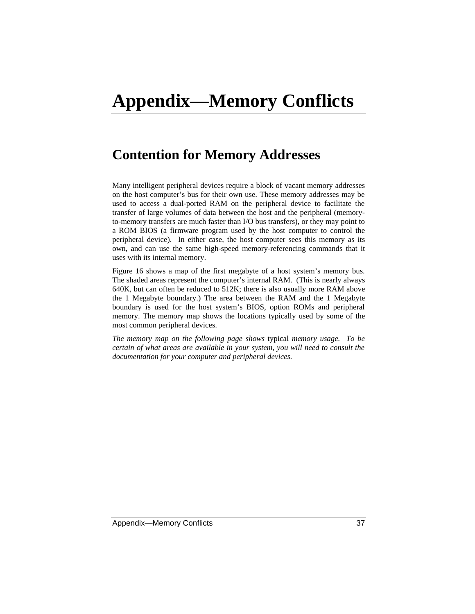# **Appendix—Memory Conflicts**

# **Contention for Memory Addresses**

Many intelligent peripheral devices require a block of vacant memory addresses on the host computer's bus for their own use. These memory addresses may be used to access a dual-ported RAM on the peripheral device to facilitate the transfer of large volumes of data between the host and the peripheral (memoryto-memory transfers are much faster than I/O bus transfers), or they may point to a ROM BIOS (a firmware program used by the host computer to control the peripheral device). In either case, the host computer sees this memory as its own, and can use the same high-speed memory-referencing commands that it uses with its internal memory.

Figure 16 shows a map of the first megabyte of a host system's memory bus. The shaded areas represent the computer's internal RAM. (This is nearly always 640K, but can often be reduced to 512K; there is also usually more RAM above the 1 Megabyte boundary.) The area between the RAM and the 1 Megabyte boundary is used for the host system's BIOS, option ROMs and peripheral memory. The memory map shows the locations typically used by some of the most common peripheral devices.

*The memory map on the following page shows* typical *memory usage. To be certain of what areas are available in your system, you will need to consult the documentation for your computer and peripheral devices.*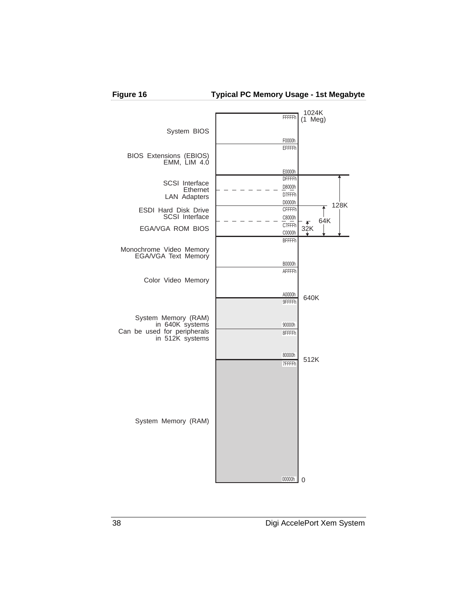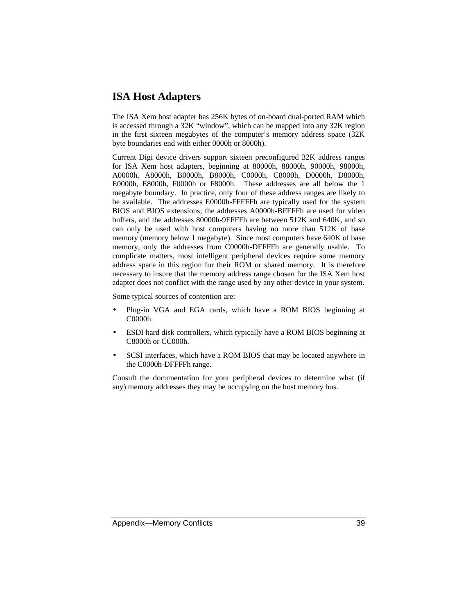#### **ISA Host Adapters**

The ISA Xem host adapter has 256K bytes of on-board dual-ported RAM which is accessed through a 32K "window", which can be mapped into any 32K region in the first sixteen megabytes of the computer's memory address space (32K byte boundaries end with either 0000h or 8000h).

Current Digi device drivers support sixteen preconfigured 32K address ranges for ISA Xem host adapters, beginning at 80000h, 88000h, 90000h, 98000h, A0000h, A8000h, B0000h, B8000h, C0000h, C8000h, D0000h, D8000h, E0000h, E8000h, F0000h or F8000h. These addresses are all below the 1 megabyte boundary. In practice, only four of these address ranges are likely to be available. The addresses E0000h-FFFFFh are typically used for the system BIOS and BIOS extensions; the addresses A0000h-BFFFFh are used for video buffers, and the addresses 80000h-9FFFFh are between 512K and 640K, and so can only be used with host computers having no more than 512K of base memory (memory below 1 megabyte). Since most computers have 640K of base memory, only the addresses from C0000h-DFFFFh are generally usable. To complicate matters, most intelligent peripheral devices require some memory address space in this region for their ROM or shared memory. It is therefore necessary to insure that the memory address range chosen for the ISA Xem host adapter does not conflict with the range used by any other device in your system.

Some typical sources of contention are:

- Plug-in VGA and EGA cards, which have a ROM BIOS beginning at C0000h.
- ESDI hard disk controllers, which typically have a ROM BIOS beginning at C8000h or CC000h.
- SCSI interfaces, which have a ROM BIOS that may be located anywhere in the C0000h-DFFFFh range.

Consult the documentation for your peripheral devices to determine what (if any) memory addresses they may be occupying on the host memory bus.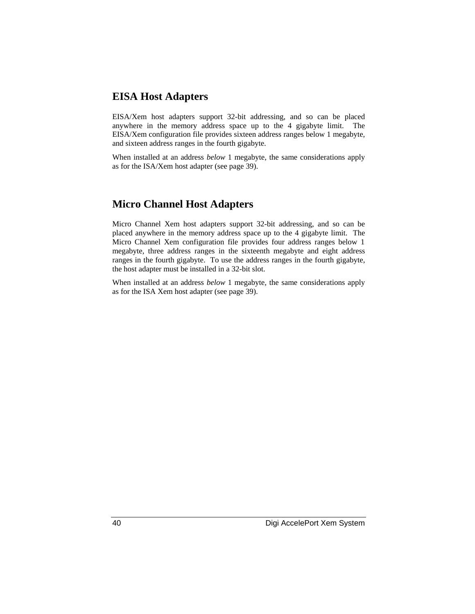#### **EISA Host Adapters**

EISA/Xem host adapters support 32-bit addressing, and so can be placed anywhere in the memory address space up to the 4 gigabyte limit. The EISA/Xem configuration file provides sixteen address ranges below 1 megabyte, and sixteen address ranges in the fourth gigabyte.

When installed at an address *below* 1 megabyte, the same considerations apply as for the ISA/Xem host adapter (see page 39).

#### **Micro Channel Host Adapters**

Micro Channel Xem host adapters support 32-bit addressing, and so can be placed anywhere in the memory address space up to the 4 gigabyte limit. The Micro Channel Xem configuration file provides four address ranges below 1 megabyte, three address ranges in the sixteenth megabyte and eight address ranges in the fourth gigabyte. To use the address ranges in the fourth gigabyte, the host adapter must be installed in a 32-bit slot.

When installed at an address *below* 1 megabyte, the same considerations apply as for the ISA Xem host adapter (see page 39).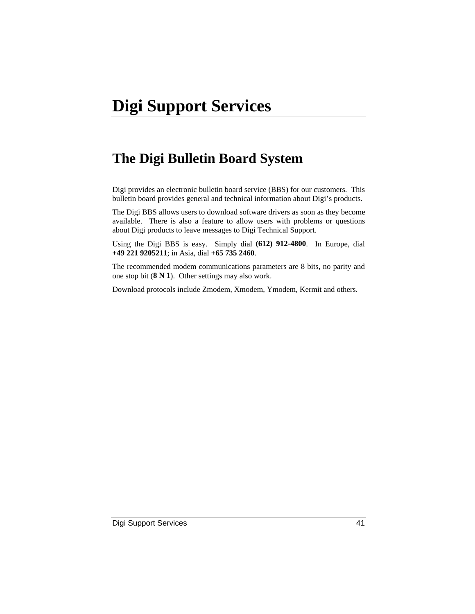# **The Digi Bulletin Board System**

Digi provides an electronic bulletin board service (BBS) for our customers. This bulletin board provides general and technical information about Digi's products.

The Digi BBS allows users to download software drivers as soon as they become available. There is also a feature to allow users with problems or questions about Digi products to leave messages to Digi Technical Support.

Using the Digi BBS is easy. Simply dial **(612) 912-4800**. In Europe, dial **+49 221 9205211**; in Asia, dial **+65 735 2460**.

The recommended modem communications parameters are 8 bits, no parity and one stop bit (**8 N 1**). Other settings may also work.

Download protocols include Zmodem, Xmodem, Ymodem, Kermit and others.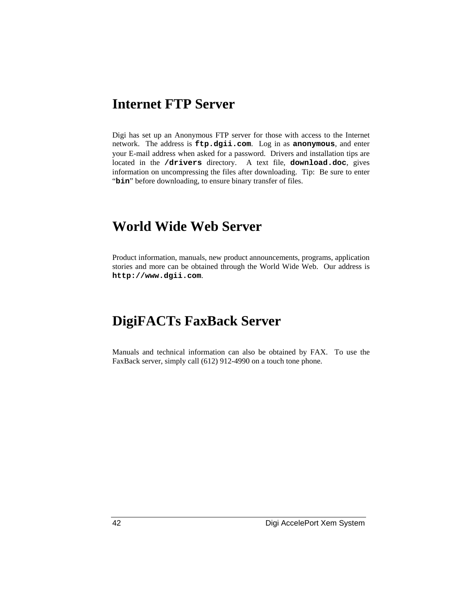# **Internet FTP Server**

Digi has set up an Anonymous FTP server for those with access to the Internet network. The address is **ftp.dgii.com**. Log in as **anonymous**, and enter your E-mail address when asked for a password. Drivers and installation tips are located in the **/drivers** directory. A text file, **download.doc**, gives information on uncompressing the files after downloading. Tip: Be sure to enter "bin" before downloading, to ensure binary transfer of files.

# **World Wide Web Server**

Product information, manuals, new product announcements, programs, application stories and more can be obtained through the World Wide Web. Our address is **http://www.dgii.com**.

# **DigiFACTs FaxBack Server**

Manuals and technical information can also be obtained by FAX. To use the FaxBack server, simply call (612) 912-4990 on a touch tone phone.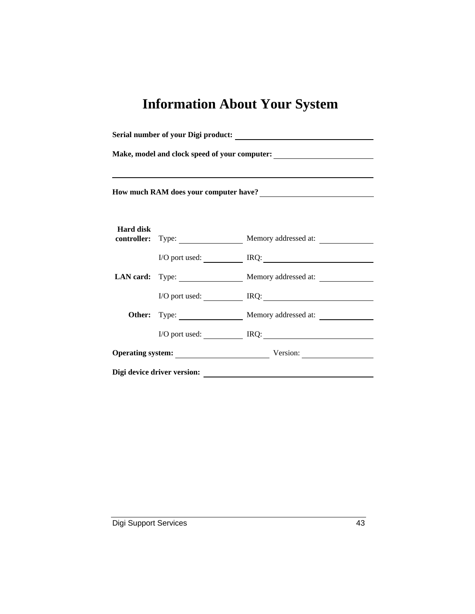# **Information About Your System**

| Make, model and clock speed of your computer:<br><u>Letting</u> |  |                                               |
|-----------------------------------------------------------------|--|-----------------------------------------------|
| How much RAM does your computer have?<br><u> </u>               |  |                                               |
|                                                                 |  |                                               |
| <b>Hard disk</b>                                                |  | <b>controller:</b> Type: Memory addressed at: |
|                                                                 |  | I/O port used: <u>Next RQ:</u>                |
|                                                                 |  | LAN card: Type: Memory addressed at:          |
|                                                                 |  | $I/O$ port used: $IRQ$ :                      |
|                                                                 |  | Memory addressed at:                          |
|                                                                 |  | I/O port used: IRQ: IRQ:                      |
|                                                                 |  | Operating system: Version:                    |
| Digi device driver version:                                     |  |                                               |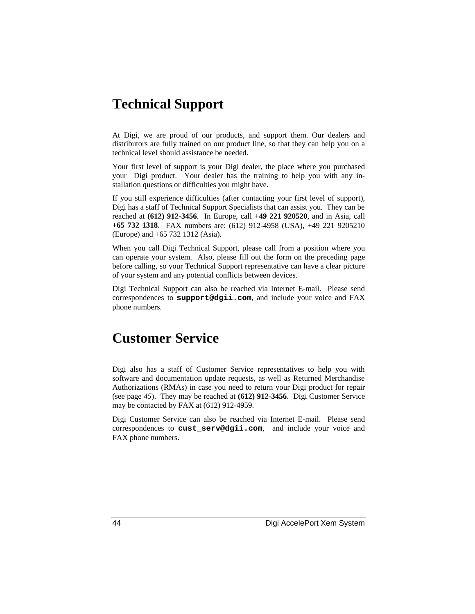# **Technical Support**

At Digi, we are proud of our products, and support them. Our dealers and distributors are fully trained on our product line, so that they can help you on a technical level should assistance be needed.

Your first level of support is your Digi dealer, the place where you purchased your Digi product. Your dealer has the training to help you with any installation questions or difficulties you might have.

If you still experience difficulties (after contacting your first level of support), Digi has a staff of Technical Support Specialists that can assist you. They can be reached at **(612) 912-3456**. In Europe, call **+49 221 920520**, and in Asia, call **+65 732 1318**. FAX numbers are: (612) 912-4958 (USA), +49 221 9205210 (Europe) and +65 732 1312 (Asia).

When you call Digi Technical Support, please call from a position where you can operate your system. Also, please fill out the form on the preceding page before calling, so your Technical Support representative can have a clear picture of your system and any potential conflicts between devices.

Digi Technical Support can also be reached via Internet E-mail. Please send correspondences to **support@dgii.com**, and include your voice and FAX phone numbers.

# **Customer Service**

Digi also has a staff of Customer Service representatives to help you with software and documentation update requests, as well as Returned Merchandise Authorizations (RMAs) in case you need to return your Digi product for repair (see page *45*). They may be reached at **(612) 912-3456**. Digi Customer Service may be contacted by FAX at (612) 912-4959.

Digi Customer Service can also be reached via Internet E-mail. Please send correspondences to **cust\_serv@dgii.com**, and include your voice and FAX phone numbers.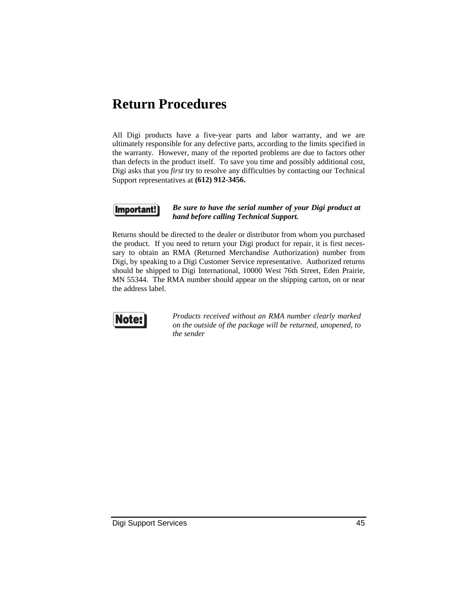# **Return Procedures**

All Digi products have a five-year parts and labor warranty, and we are ultimately responsible for any defective parts, according to the limits specified in the warranty. However, many of the reported problems are due to factors other than defects in the product itself. To save you time and possibly additional cost, Digi asks that you *first* try to resolve any difficulties by contacting our Technical Support representatives at **(612) 912-3456.**



#### *Be sure to have the serial number of your Digi product at hand before calling Technical Support.*

Returns should be directed to the dealer or distributor from whom you purchased the product. If you need to return your Digi product for repair, it is first necessary to obtain an RMA (Returned Merchandise Authorization) number from Digi, by speaking to a Digi Customer Service representative. Authorized returns should be shipped to Digi International, 10000 West 76th Street, Eden Prairie, MN 55344. The RMA number should appear on the shipping carton, on or near the address label.



*Products received without an RMA number clearly marked on the outside of the package will be returned, unopened, to the sender*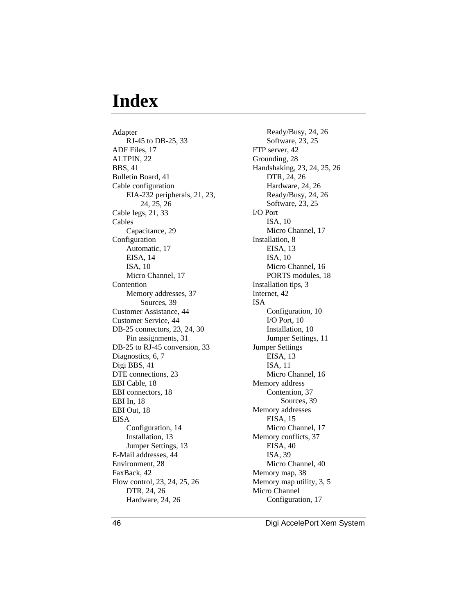# **Index**

Adapter RJ-45 to DB-25, 33 ADF Files, 17 ALTPIN, 22 BBS, 41 Bulletin Board, 41 Cable configuration EIA-232 peripherals, 21, 23, 24, 25, 26 Cable legs, 21, 33 Cables Capacitance, 29 Configuration Automatic, 17 EISA, 14 ISA, 10 Micro Channel, 17 Contention Memory addresses, 37 Sources, 39 Customer Assistance, 44 Customer Service, 44 DB-25 connectors, 23, 24, 30 Pin assignments, 31 DB-25 to RJ-45 conversion, 33 Diagnostics, 6, 7 Digi BBS, 41 DTE connections, 23 EBI Cable, 18 EBI connectors, 18 EBI In, 18 EBI Out, 18 EISA Configuration, 14 Installation, 13 Jumper Settings, 13 E-Mail addresses, 44 Environment, 28 FaxBack, 42 Flow control, 23, 24, 25, 26 DTR, 24, 26 Hardware, 24, 26

Ready/Busy, 24, 26 Software, 23, 25 FTP server, 42 Grounding, 28 Handshaking, 23, 24, 25, 26 DTR, 24, 26 Hardware, 24, 26 Ready/Busy, 24, 26 Software, 23, 25 I/O Port ISA, 10 Micro Channel, 17 Installation, 8 EISA, 13 ISA, 10 Micro Channel, 16 PORTS modules, 18 Installation tips, 3 Internet, 42 ISA Configuration, 10 I/O Port, 10 Installation, 10 Jumper Settings, 11 Jumper Settings EISA, 13 ISA, 11 Micro Channel, 16 Memory address Contention, 37 Sources, 39 Memory addresses EISA, 15 Micro Channel, 17 Memory conflicts, 37 EISA, 40 ISA, 39 Micro Channel, 40 Memory map, 38 Memory map utility, 3, 5 Micro Channel Configuration, 17

46 Digi AccelePort Xem System